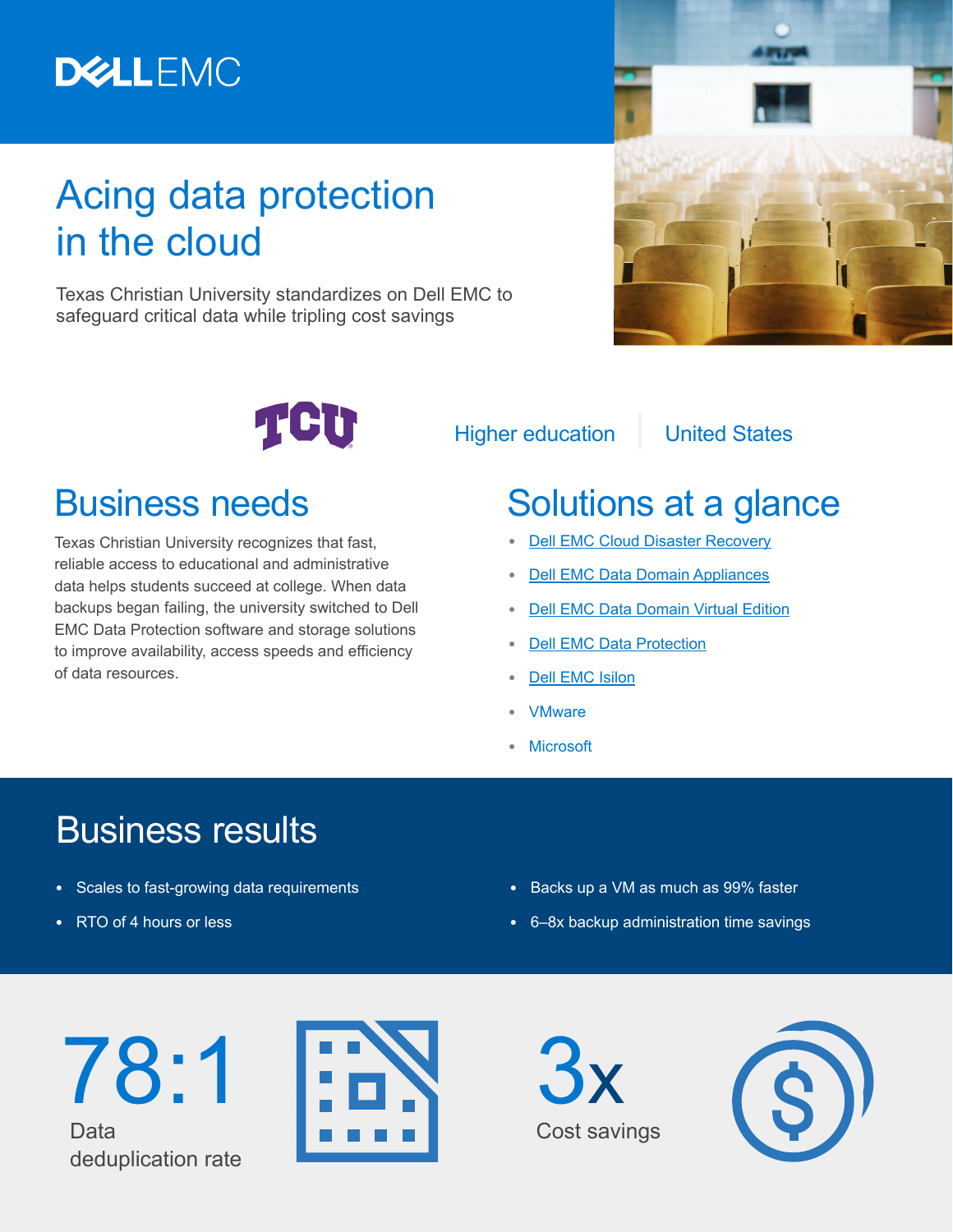# **DELLEMC**

# Acing data protection in the cloud

Texas Christian University standardizes on Dell EMC to safeguard critical data while tripling cost savings





Higher education | United States

## Business needs

Texas Christian University recognizes that fast, reliable access to educational and administrative data helps students succeed at college. When data backups began failing, the university switched to Dell EMC Data Protection software and storage solutions to improve availability, access speeds and efficiency of data resources.

# Solutions at a glance

- **•** [Dell EMC Cloud Disaster Recovery](https://www.dellemc.com/en-us/data-protection/cloud.htm)
- **•** [Dell EMC Data Domain Appliances](https://www.dellemc.com/en-us/data-protection/data-domain-backup-storage.htm#collapse)
- **•** [Dell EMC Data Domain Virtual Edition](https://shop.dellemc.com/en-us/Product-Family/DATA-DOMAIN-PRODUCTS/Dell-EMC-Data-Domain-Virtual-Edition-Data-Protection-Software/p/DDM-Data-Domain-Virtual-Edition?PID=EMC_SRS-DDVE-B2CB_HEAD)
- **•** [Dell EMC Data Protection](https://www.dellemc.com/en-us/data-protection/index.htm)
- **•** [Dell EMC Isilon](https://www.dellemc.com/en-us/storage/isilon/index.htm)
- **•** VMware
- **•** Microsoft

## Business results

- **•** Scales to fast-growing data requirements
- **•** RTO of 4 hours or less
- **•** Backs up a VM as much as 99% faster
- **•** 6–8x backup administration time savings





3x Cost savings

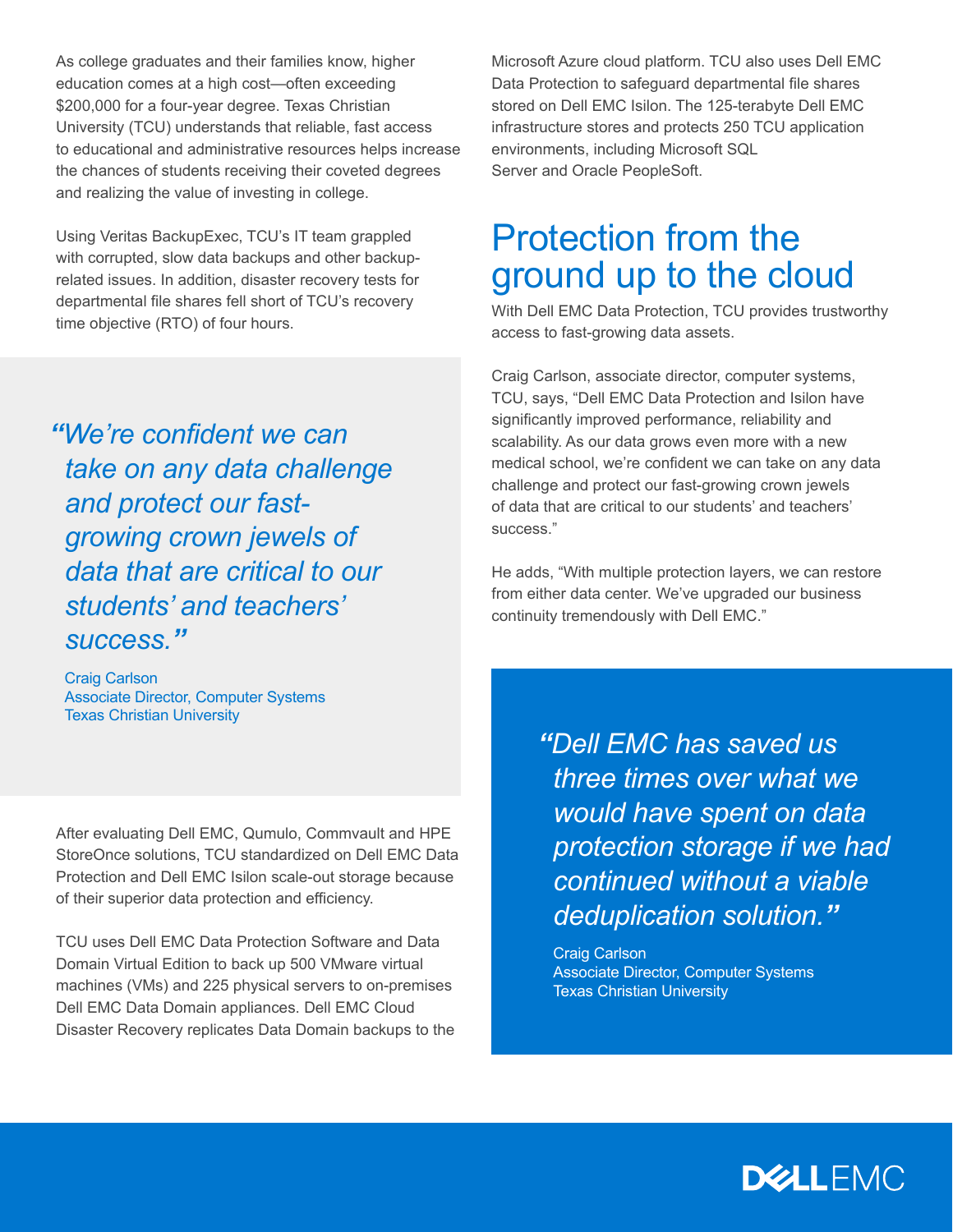As college graduates and their families know, higher education comes at a high cost—often exceeding \$200,000 for a four-year degree. Texas Christian University (TCU) understands that reliable, fast access to educational and administrative resources helps increase the chances of students receiving their coveted degrees and realizing the value of investing in college.

Using Veritas BackupExec, TCU's IT team grappled with corrupted, slow data backups and other backuprelated issues. In addition, disaster recovery tests for departmental file shares fell short of TCU's recovery time objective (RTO) of four hours.

*"We're confident we can take on any data challenge and protect our fastgrowing crown jewels of data that are critical to our students' and teachers' success."*

Craig Carlson Associate Director, Computer Systems Texas Christian University

After evaluating Dell EMC, Qumulo, Commvault and HPE StoreOnce solutions, TCU standardized on Dell EMC Data Protection and Dell EMC Isilon scale-out storage because of their superior data protection and efficiency.

TCU uses Dell EMC Data Protection Software and Data Domain Virtual Edition to back up 500 VMware virtual machines (VMs) and 225 physical servers to on-premises Dell EMC Data Domain appliances. Dell EMC Cloud Disaster Recovery replicates Data Domain backups to the Microsoft Azure cloud platform. TCU also uses Dell EMC Data Protection to safeguard departmental file shares stored on Dell EMC Isilon. The 125-terabyte Dell EMC infrastructure stores and protects 250 TCU application environments, including Microsoft SQL Server and Oracle PeopleSoft.

#### Protection from the ground up to the cloud

With Dell EMC Data Protection, TCU provides trustworthy access to fast-growing data assets.

Craig Carlson, associate director, computer systems, TCU, says, "Dell EMC Data Protection and Isilon have significantly improved performance, reliability and scalability. As our data grows even more with a new medical school, we're confident we can take on any data challenge and protect our fast-growing crown jewels of data that are critical to our students' and teachers' success."

He adds, "With multiple protection layers, we can restore from either data center. We've upgraded our business continuity tremendously with Dell EMC."

> *"Dell EMC has saved us three times over what we would have spent on data protection storage if we had continued without a viable deduplication solution."*

Craig Carlson Associate Director, Computer Systems Texas Christian University